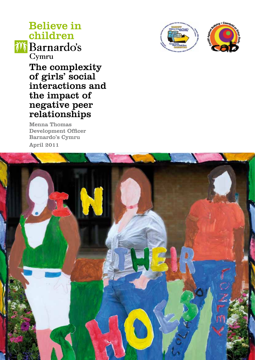# **Believe in** children



The complexity of girls' social interactions and the impact of negative peer relationships

Menna Thomas Development Officer Barnardo's Cymru April 2011



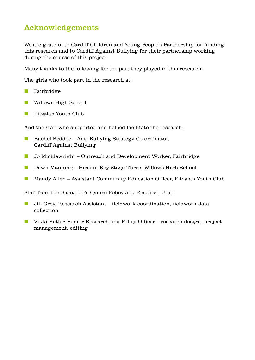# Acknowledgements

We are grateful to Cardiff Children and Young People's Partnership for funding this research and to Cardiff Against Bullying for their partnership working during the course of this project.

Many thanks to the following for the part they played in this research:

The girls who took part in the research at:

- **n** Fairbridge
- **n** Willows High School
- **n** Fitzalan Youth Club

And the staff who supported and helped facilitate the research:

- n Rachel Beddoe Anti-Bullying Strategy Co-ordinator, Cardiff Against Bullying
- **n** Jo Micklewright Outreach and Development Worker, Fairbridge
- **n** Dawn Manning Head of Key Stage Three, Willows High School
- Mandy Allen Assistant Community Education Officer, Fitzalan Youth Club

Staff from the Barnardo's Cymru Policy and Research Unit:

- n Jill Grey, Research Assistant fieldwork coordination, fieldwork data collection
- Vikki Butler, Senior Research and Policy Officer research design, project management, editing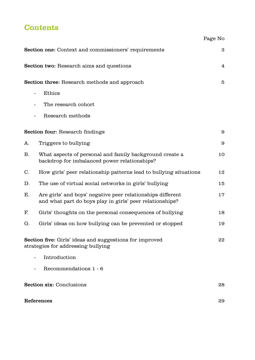# **Contents**

|                                                                                                      |                                                                                                                        | Page No                 |
|------------------------------------------------------------------------------------------------------|------------------------------------------------------------------------------------------------------------------------|-------------------------|
|                                                                                                      | Section one: Context and commissioners' requirements                                                                   | 3                       |
|                                                                                                      | <b>Section two:</b> Research aims and questions                                                                        | $\overline{\mathbf{4}}$ |
| <b>Section three:</b> Research methods and approach                                                  |                                                                                                                        | $\overline{5}$          |
|                                                                                                      | Ethics                                                                                                                 |                         |
|                                                                                                      | The research cohort                                                                                                    |                         |
|                                                                                                      | Research methods                                                                                                       |                         |
| <b>Section four:</b> Research findings<br>9                                                          |                                                                                                                        |                         |
| A.                                                                                                   | Triggers to bullying                                                                                                   | 9                       |
| <b>B.</b>                                                                                            | What aspects of personal and family background create a<br>backdrop for imbalanced power relationships?                | 10                      |
| $C_{\cdot}$                                                                                          | How girls' peer relationship patterns lead to bullying situations                                                      | 12                      |
| D.                                                                                                   | The use of virtual social networks in girls' bullying                                                                  | 15                      |
| Е.                                                                                                   | Are girls' and boys' negative peer relationships different<br>and what part do boys play in girls' peer relationships? | 17                      |
| F.                                                                                                   | Girls' thoughts on the personal consequences of bullying                                                               | 18                      |
| G.                                                                                                   | Girls' ideas on how bullying can be prevented or stopped                                                               | 19                      |
| <b>Section five:</b> Girls' ideas and suggestions for improved<br>strategies for addressing bullying |                                                                                                                        | 22                      |
|                                                                                                      | Introduction                                                                                                           |                         |
|                                                                                                      | Recommendations 1 - 6                                                                                                  |                         |
| <b>Section six: Conclusions</b>                                                                      |                                                                                                                        | 28                      |
| References                                                                                           |                                                                                                                        | 29                      |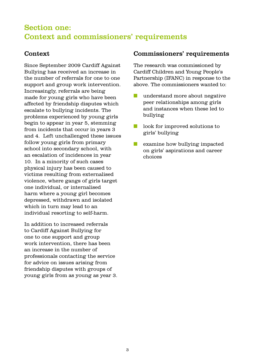# Section one: Context and commissioners' requirements

# Context

Since September 2009 Cardiff Against Bullying has received an increase in the number of referrals for one to one support and group work intervention. Increasingly, referrals are being made for young girls who have been affected by friendship disputes which escalate to bullying incidents. The problems experienced by young girls begin to appear in year 5, stemming from incidents that occur in years 3 and 4. Left unchallenged these issues follow young girls from primary school into secondary school, with an escalation of incidences in year 10. In a minority of such cases physical injury has been caused to victims resulting from externalised violence, where gangs of girls target one individual, or internalised harm where a young girl becomes depressed, withdrawn and isolated which in turn may lead to an individual resorting to self-harm.

In addition to increased referrals to Cardiff Against Bullying for one to one support and group work intervention, there has been an increase in the number of professionals contacting the service for advice on issues arising from friendship disputes with groups of young girls from as young as year 3.

### Commissioners' requirements

The research was commissioned by Cardiff Children and Young People's Partnership (IFANC) in response to the above. The commissioners wanted to:

- $\blacksquare$  understand more about negative peer relationships among girls and instances when these led to bullying
- $\blacksquare$  look for improved solutions to girls' bullying
- $\blacksquare$  examine how bullying impacted on girls' aspirations and career choices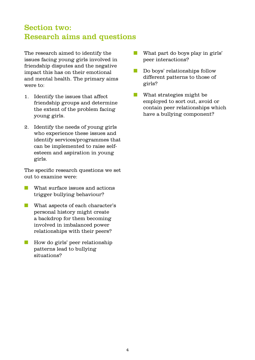# Section two: Research aims and questions

The research aimed to identify the issues facing young girls involved in friendship disputes and the negative impact this has on their emotional and mental health. The primary aims were to:

- 1. Identify the issues that affect friendship groups and determine the extent of the problem facing young girls.
- 2. Identify the needs of young girls who experience these issues and identify services/programmes that can be implemented to raise selfesteem and aspiration in young girls.

The specific research questions we set out to examine were:

- **n** What surface issues and actions trigger bullying behaviour?
- **n** What aspects of each character's personal history might create a backdrop for them becoming involved in imbalanced power relationships with their peers?
- $\blacksquare$  How do girls' peer relationship patterns lead to bullying situations?
- **n** What part do boys play in girls' peer interactions?
- $\Box$  Do boys' relationships follow different patterns to those of girls?
- $\blacksquare$  What strategies might be employed to sort out, avoid or contain peer relationships which have a bullying component?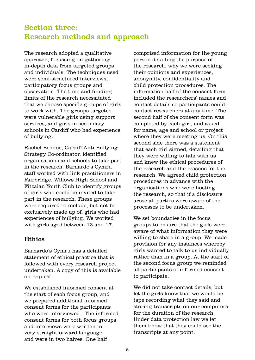# Section three: Research methods and approach

The research adopted a qualitative approach, focussing on gathering in-depth data from targeted groups and individuals. The techniques used were semi-structured interviews, participatory focus groups and observation. The time and funding limits of the research necessitated that we choose specific groups of girls to work with. The groups targeted were vulnerable girls using support services, and girls in secondary schools in Cardiff who had experience of bullying.

Rachel Beddoe, Cardiff Anti Bullying Strategy Co-ordinator, identified organisations and schools to take part in the research. Barnardo's Cymru staff worked with link practitioners in Fairbridge, Willows High School and Fitzalan Youth Club to identify groups of girls who could be invited to take part in the research. These groups were required to include, but not be exclusively made up of, girls who had experiences of bullying. We worked with girls aged between 13 and 17.

### Ethics

Barnardo's Cymru has a detailed statement of ethical practice that is followed with every research project undertaken. A copy of this is available on request.

We established informed consent at the start of each focus group, and we prepared additional informed consent forms for the participants who were interviewed. The informed consent forms for both focus groups and interviews were written in very straightforward language and were in two halves. One half

comprised information for the young person detailing the purpose of the research, why we were seeking their opinions and experiences, anonymity, confidentiality and child protection procedures. The information half of the consent form included the researchers' names and contact details so participants could contact researchers at any time. The second half of the consent form was completed by each girl, and asked for name, age and school or project where they were meeting us. On this second side there was a statement that each girl signed, detailing that they were willing to talk with us and knew the ethical procedures of the research and the reasons for the research. We agreed child protection procedures in advance with the organisations who were hosting the research, so that if a disclosure arose all parties were aware of the processes to be undertaken.

We set boundaries in the focus groups to ensure that the girls were aware of what information they were willing to share in a group. We made provision for any instances whereby girls wanted to talk to us individually rather than in a group. At the start of the second focus group we reminded all participants of informed consent to participate.

We did not take contact details, but let the girls know that we would be tape recording what they said and storing transcripts on our computers for the duration of the research. Under data protection law we let them know that they could see the transcripts at any point.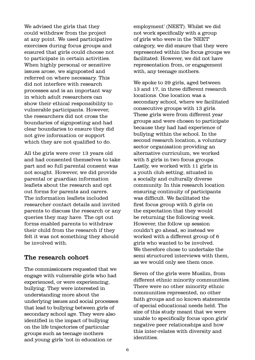We advised the girls that they could withdraw from the project at any point. We used participative exercises during focus groups and ensured that girls could choose not to participate in certain activities. When highly personal or sensitive issues arose, we signposted and referred on where necessary. This did not interfere with research processes and is an important way in which adult researchers can show their ethical responsibility to vulnerable participants. However, the researchers did not cross the boundaries of signposting and had clear boundaries to ensure they did not give information or support which they are not qualified to do.

All the girls were over 13 years old and had consented themselves to take part and so full parental consent was not sought. However, we did provide parental or guardian information leaflets about the research and opt out forms for parents and carers. The information leaflets included researcher contact details and invited parents to discuss the research or any queries they may have. The opt out forms enabled parents to withdraw their child from the research if they felt it was not something they should be involved with.

#### The research cohort

The commissioners requested that we engage with vulnerable girls who had experienced, or were experiencing, bullying. They were interested in understanding more about the underlying issues and social processes that lead to bullying between girls of secondary school age. They were also identified in the impact of bullying on the life trajectories of particular groups such as teenage mothers and young girls 'not in education or

employment' (NEET). Whilst we did not work specifically with a group of girls who were in the 'NEET' category, we did ensure that they were represented within the focus groups we facilitated. However, we did not have representation from, or engagement with, any teenage mothers.

We spoke to 29 girls, aged between 13 and 17, in three different research locations. One location was a secondary school, where we facilitated consecutive groups with 13 girls. These girls were from different year groups and were chosen to participate because they had had experience of bullying within the school. In the second research location, a voluntary sector organisation providing an alternative curriculum, we worked with 5 girls in two focus groups. Lastly, we worked with 11 girls in a youth club setting, situated in a socially and culturally diverse community. In this research location ensuring continuity of participants was difficult. We facilitated the first focus group with 5 girls on the expectation that they would be returning the following week. However, the follow up session couldn't go ahead, so instead we worked with a different group of 6 girls who wanted to be involved. We therefore chose to undertake the semi structured interviews with them, as we would only see them once.

Seven of the girls were Muslim, from different ethnic minority communities. There were no other minority ethnic communities represented, no other faith groups and no known statements of special educational needs held. The size of this study meant that we were unable to specifically focus upon girls' negative peer relationships and how this inter-relates with diversity and identities.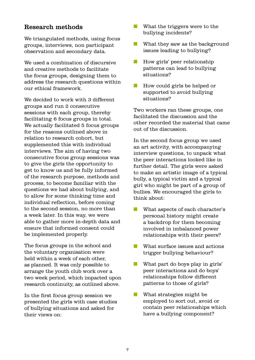### Research methods

We triangulated methods, using focus groups, interviews, non participant observation and secondary data.

We used a combination of discursive and creative methods to facilitate the focus groups, designing them to address the research questions within our ethical framework.

We decided to work with 3 different groups and run 2 consecutive sessions with each group, thereby facilitating 6 focus groups in total. We actually facilitated 5 focus groups for the reasons outlined above in relation to research cohort, but supplemented this with individual interviews. The aim of having two consecutive focus group sessions was to give the girls the opportunity to get to know us and be fully informed of the research purpose, methods and process, to become familiar with the questions we had about bullying, and to allow for some thinking time and individual reflection, before coming to the second session, no more than a week later. In this way, we were able to gather more in-depth data and ensure that informed consent could be implemented properly.

The focus groups in the school and the voluntary organisation were held within a week of each other, as planned. It was only possible to arrange the youth club work over a two week period, which impacted upon research continuity, as outlined above.

In the first focus group session we presented the girls with case studies of bullying situations and asked for their views on:

- $\blacksquare$  What the triggers were to the bullying incidents?
- $\blacksquare$  What they saw as the background issues leading to bullying?
- **n** How girls' peer relationship patterns can lead to bullying situations?
- **n** How could girls be helped or supported to avoid bullying situations?

Two workers ran these groups, one facilitated the discussion and the other recorded the material that came out of the discussion.

In the second focus group we used an art activity, with accompanying interview questions, to unpack what the peer interactions looked like in further detail. The girls were asked to make an artistic image of a typical bully, a typical victim and a typical girl who might be part of a group of bullies. We encouraged the girls to think about:

- **n** What aspects of each character's personal history might create a backdrop for them becoming involved in imbalanced power relationships with their peers?
- $\blacksquare$  What surface issues and actions trigger bullying behaviour?
- $\blacksquare$  What part do boys play in girls' peer interactions and do boys' relationships follow different patterns to those of girls?
- $\blacksquare$  What strategies might be employed to sort out, avoid or contain peer relationships which have a bullying component?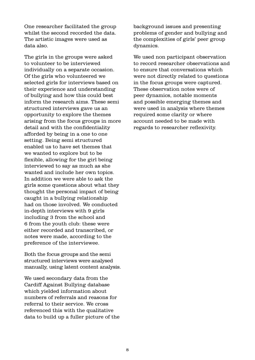One researcher facilitated the group whilst the second recorded the data. The artistic images were used as data also.

The girls in the groups were asked to volunteer to be interviewed individually on a separate occasion. Of the girls who volunteered we selected girls for interviews based on their experience and understanding of bullying and how this could best inform the research aims. These semi structured interviews gave us an opportunity to explore the themes arising from the focus groups in more detail and with the confidentiality afforded by being in a one to one setting. Being semi structured enabled us to have set themes that we wanted to explore but to be flexible, allowing for the girl being interviewed to say as much as she wanted and include her own topics. In addition we were able to ask the girls some questions about what they thought the personal impact of being caught in a bullying relationship had on those involved. We conducted in-depth interviews with 9 girls including 3 from the school and 6 from the youth club: these were either recorded and transcribed, or notes were made, according to the preference of the interviewee.

Both the focus groups and the semi structured interviews were analysed manually, using latent content analysis.

We used secondary data from the Cardiff Against Bullying database which yielded information about numbers of referrals and reasons for referral to their service. We cross referenced this with the qualitative data to build up a fuller picture of the background issues and presenting problems of gender and bullying and the complexities of girls' peer group dynamics.

We used non participant observation to record researcher observations and to ensure that conversations which were not directly related to questions in the focus groups were captured. These observation notes were of peer dynamics, notable moments and possible emerging themes and were used in analysis where themes required some clarity or where account needed to be made with regards to researcher reflexivity.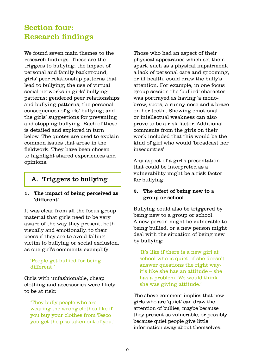# Section four: Research findings

We found seven main themes to the research findings. These are the triggers to bullying; the impact of personal and family background; girls' peer relationship patterns that lead to bullying; the use of virtual social networks in girls' bullying patterns; gendered peer relationships and bullying patterns; the personal consequences of girls' bullying; and the girls' suggestions for preventing and stopping bullying. Each of these is detailed and explored in turn below. The quotes are used to explain common issues that arose in the fieldwork. They have been chosen to highlight shared experiences and opinions.

# A. Triggers to bullying

#### 1. The impact of being perceived as 'different'

It was clear from all the focus group material that girls need to be very aware of the way they present, both visually and emotionally, to their peers if they are to avoid falling victim to bullying or social exclusion, as one girl's comments exemplify:

#### 'People get bullied for being different.'

Girls with unfashionable, cheap clothing and accessories were likely to be at risk:

'They bully people who are wearing the wrong clothes like if you buy your clothes from Tesco you get the piss taken out of you.' Those who had an aspect of their physical appearance which set them apart, such as a physical impairment, a lack of personal care and grooming, or ill health, could draw the bully's attention. For example, in one focus group session the 'bullied' character was portrayed as having 'a monobrow, spots, a runny nose and a brace on her teeth'. Showing emotional or intellectual weakness can also prove to be a risk factor. Additional comments from the girls on their work included that this would be the kind of girl who would 'broadcast her insecurities'.

Any aspect of a girl's presentation that could be interpreted as a vulnerability might be a risk factor for bullying.

#### 2. The effect of being new to a group or school

Bullying could also be triggered by being new to a group or school. A new person might be vulnerable to being bullied, or a new person might deal with the situation of being new by bullying:

'It's like if there is a new girl at school who is quiet, if she doesn't answer questions the right wayit's like she has an attitude – she has a problem. We would think she was giving attitude.'

The above comment implies that new girls who are 'quiet' can draw the attention of bullies, maybe because they present as vulnerable, or possibly because quiet people give little information away about themselves.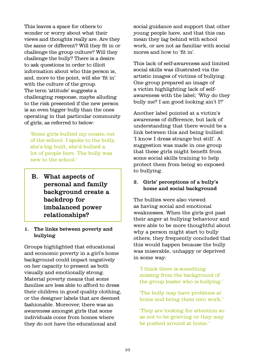This leaves a space for others to wonder or worry about what their views and thoughts really are. Are they the same or different? Will they fit in or challenge the group culture? Will they challenge the bully? There is a desire to ask questions in order to illicit information about who this person is, and, more to the point, will she 'fit in' with the culture of the group. The term 'attitude' suggests a challenging response, maybe alluding to the risk presented if the new person is an even bigger bully than the ones operating in that particular community of girls, as referred to below:

'Some girls bullied my cousin out of the school. I spoke to the bully, she's big built, she'd bullied a lot of people here. The bully was new to the school.'

B. What aspects of personal and family background create a backdrop for imbalanced power relationships?

#### 1. The links between poverty and bullying

Groups highlighted that educational and economic poverty in a girl's home background could impact negatively on her capacity to present as both visually and emotionally strong. Material poverty means that some families are less able to afford to dress their children in good quality clothing, or the designer labels that are deemed fashionable. Moreover, there was an awareness amongst girls that some individuals come from homes where they do not have the educational and

social guidance and support that other young people have, and that this can mean they lag behind with school work, or are not as familiar with social mores and how to 'fit in'.

This lack of self-awareness and limited social skills was illustrated via the artistic images of victims of bullying. One group prepared an image of a victim highlighting lack of selfawareness with the label; 'Why do they bully me? I am good looking ain't I?'

Another label pointed at a victim's awareness of difference, but lack of understanding that there would be a link between this and being bullied: 'I know I dress strange but still'. A suggestion was made in one group that these girls might benefit from some social skills training to help protect them from being so exposed to bullying.

#### 2. Girls' perceptions of a bully's home and social background

The bullies were also viewed as having social and emotional weaknesses. When the girls got past their anger at bullying behaviour and were able to be more thoughtful about why a person might start to bully others, they frequently concluded that this would happen because the bully was miserable, unhappy or deprived in some way:

'I think there is something missing from the background of the group leader who is bullying.'

'The bully may have problems at home and bring them into work.'

'They are looking for attention so as not to be grieving or they may be pushed around at home.'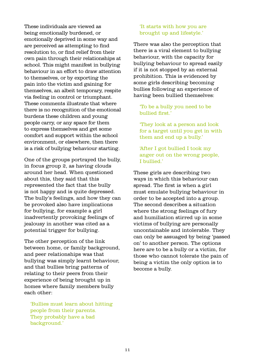These individuals are viewed as being emotionally burdened, or emotionally deprived in some way and are perceived as attempting to find resolution to, or find relief from their own pain through their relationships at school. This might manifest in bullying behaviour in an effort to draw attention to themselves, or by exporting the pain into the victim and gaining for themselves, an albeit temporary, respite via feeling in control or triumphant. These comments illustrate that where there is no recognition of the emotional burdens these children and young people carry, or any space for them to express themselves and get some comfort and support within the school environment, or elsewhere, then there is a risk of bullying behaviour starting.

One of the groups portrayed the bully, in focus group 2, as having clouds around her head. When questioned about this, they said that this represented the fact that the bully is not happy and is quite depressed. The bully's feelings, and how they can be provoked also have implications for bullying, for example a girl inadvertently provoking feelings of jealousy in another was cited as a potential trigger for bullying.

The other perception of the link between home, or family background, and peer relationships was that bullying was simply learnt behaviour, and that bullies bring patterns of relating to their peers from their experience of being brought up in homes where family members bully each other:

'Bullies must learn about hitting people from their parents. They probably have a bad background.'

#### 'It starts with how you are brought up and lifestyle.'

There was also the perception that there is a viral element to bullying behaviour, with the capacity for bullying behaviour to spread easily if it is not stopped by an external prohibition. This is evidenced by some girls describing becoming bullies following an experience of having been bullied themselves:

#### 'To be a bully you need to be bullied first.'

'They look at a person and look for a target until you get in with them and end up a bully.'

'After I got bullied I took my anger out on the wrong people, I bullied.'

These girls are describing two ways in which this behaviour can spread. The first is when a girl must emulate bullying behaviour in order to be accepted into a group. The second describes a situation where the strong feelings of fury and humiliation stirred up in some victims of bullying are personally uncontainable and intolerable. They can only be assuaged by being 'passed on' to another person. The options here are to be a bully or a victim, for those who cannot tolerate the pain of being a victim the only option is to become a bully.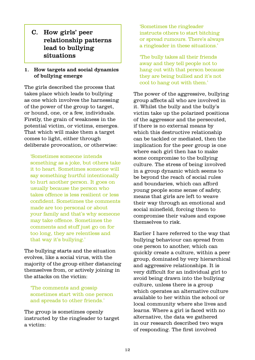C. How girls' peer relationship patterns lead to bullying situations

#### 1. How targets and social dynamics of bullying emerge

The girls described the process that takes place which leads to bullying as one which involves the harnessing of the power of the group to target, or hound, one, or a few, individuals. Firstly, the grain of weakness in the potential victim, or victims, emerges. That which will make them a target comes to light, either through deliberate provocation, or otherwise:

'Sometimes someone intends something as a joke, but others take it to heart. Sometimes someone will say something hurtful intentionally to hurt another person. It goes on usually because the person who takes offence is less resilient or less confident. Sometimes the comments made are too personal or about your family and that's why someone may take offence. Sometimes the comments and stuff just go on for too long, they are relentless and that way it's bullying.'

The bullying starts and the situation evolves, like a social virus, with the majority of the group either distancing themselves from, or actively joining in the attacks on the victim:

'The comments and gossip sometimes start with one person and spreads to other friends.'

The group is sometimes openly instructed by the ringleader to target a victim:

'Sometimes the ringleader instructs others to start bitching or spread rumours. There's always a ringleader in these situations.'

'The bully takes all their friends away and they tell people not to hang out with that person because they are being bullied and it's not cool to hang out with them.'

The power of the aggressive, bullying group affects all who are involved in it. Whilst the bully and the bully's victim take up the polarized positions of the aggressor and the persecuted, if there is no external means by which this destructive relationship can be tackled or mediated, then the implication for the peer group is one where each girl then has to make some compromise to the bullying culture. The stress of being involved in a group dynamic which seems to be beyond the reach of social rules and boundaries, which can afford young people some sense of safety, means that girls are left to weave their way through an emotional and social minefield, forcing them to compromise their values and expose themselves to risk.

Earlier I have referred to the way that bullying behaviour can spread from one person to another, which can quickly create a culture, within a peer group, dominated by very hierarchical and aggressive relationships. It is very difficult for an individual girl to avoid being drawn into the bullying culture, unless there is a group which operates an alternative culture available to her within the school or local community where she lives and learns. Where a girl is faced with no alternative, the data we gathered in our research described two ways of responding. The first involved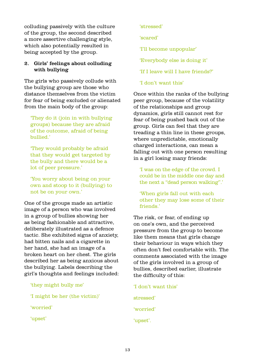colluding passively with the culture of the group, the second described a more assertive challenging style, which also potentially resulted in being accepted by the group.

#### 2. Girls' feelings about colluding with bullying

The girls who passively collude with the bullying group are those who distance themselves from the victim for fear of being excluded or alienated from the main body of the group:

'They do it (join in with bullying groups) because they are afraid of the outcome, afraid of being bullied.'

'They would probably be afraid that they would get targeted by the bully and there would be a lot of peer pressure.'

'You worry about being on your own and stoop to it (bullying) to not be on your own.'

One of the groups made an artistic image of a person who was involved in a group of bullies showing her as being fashionable and attractive, deliberately illustrated as a defence tactic. She exhibited signs of anxiety, had bitten nails and a cigarette in her hand, she had an image of a broken heart on her chest. The girls described her as being anxious about the bullying. Labels describing the girl's thoughts and feelings included:

| 'they might bully me'         |  |  |
|-------------------------------|--|--|
| 'I might be her (the victim)' |  |  |
| 'worried'                     |  |  |
| 'upset'                       |  |  |

'stressed'

'scared'

'I'll become unpopular'

'Everybody else is doing it'

'If I leave will I have friends?'

'I don't want this'

Once within the ranks of the bullying peer group, because of the volatility of the relationships and group dynamics, girls still cannot rest for fear of being pushed back out of the group. Girls can feel that they are treading a thin line in these groups, where unpredictable, emotionally charged interactions, can mean a falling out with one person resulting in a girl losing many friends:

'I was on the edge of the crowd. I could be in the middle one day and the next a "dead person walking".'

'When girls fall out with each other they may lose some of their friends.'

The risk, or fear, of ending up on one's own, and the perceived pressure from the group to become like them means that girls change their behaviour in ways which they often don't feel comfortable with. The comments associated with the image of the girls involved in a group of bullies, described earlier, illustrate the difficulty of this:

'I don't want this' stressed' 'worried' 'upset'.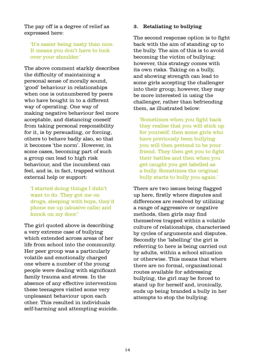The pay off is a degree of relief as expressed here:

'It's easier being nasty than nice. It means you don't have to look over your shoulder.'

The above comment starkly describes the difficulty of maintaining a personal sense of morally sound, 'good' behaviour in relationships when one is outnumbered by peers who have bought in to a different way of operating. One way of making negative behaviour feel more acceptable, and distancing oneself from taking personal responsibility for it, is by persuading, or forcing, others to behave badly also, so that it becomes 'the norm'. However, in some cases, becoming part of such a group can lead to high risk behaviour, and the incumbent can feel, and is, in fact, trapped without external help or support:

'I started doing things I didn't want to do. They got me on drugs, sleeping with boys, they'd phone me up (abusive calls) and knock on my door.'

The girl quoted above is describing a very extreme case of bullying which extended across areas of her life from school into the community. Her peer group was a particularly volatile and emotionally charged one where a number of the young people were dealing with significant family trauma and stress. In the absence of any effective intervention these teenagers visited some very unpleasant behaviour upon each other. This resulted in individuals self-harming and attempting suicide.

#### 3. Retaliating to bullying

The second response option is to fight back with the aim of standing up to the bully. The aim of this is to avoid becoming the victim of bullying; however, this strategy comes with its own risks. Taking on a bully, and showing strength can lead to some girls accepting the challenger into their group; however, they may be more interested in using the challenger, rather than befriending them, as illustrated below:

'Sometimes when you fight back they realise that you will stick up for yourself, then some girls who have previously been bullying you will then pretend to be your friend. They then get you to fight their battles and then when you get caught you get labelled as a bully. Sometimes the original bully starts to bully you again.'

There are two issues being flagged up here, firstly where disputes and differences are resolved by utilizing a range of aggressive or negative methods, then girls may find themselves trapped within a volatile culture of relationships, characterised by cycles of arguments and disputes. Secondly the 'labelling' the girl is referring to here is being carried out by adults, within a school situation or otherwise. This means that where there are no formal, organisational routes available for addressing bullying, the girl may be forced to stand up for herself and, ironically, ends up being branded a bully in her attempts to stop the bullying.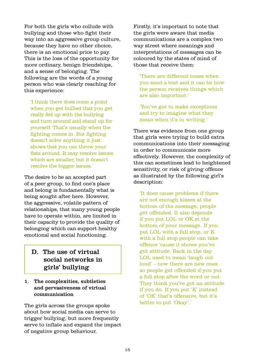For both the girls who collude with bullying and those who fight their way into an aggressive group culture, because they have no other choice, there is an emotional price to pay. This is the loss of the opportunity for more ordinary, benign friendships, and a sense of belonging. The following are the words of a young person who was clearly reaching for this experience:

'I think there does come a point when you get bullied that you get really fed up with the bullying and turn around and stand up for yourself. That's usually when the fighting comes in. But fighting doesn't solve anything it just shows that you can throw your fists around. It may resolve issues which are smaller, but it doesn't resolve the bigger issues.'

The desire to be an accepted part of a peer group, to find one's place and belong is fundamentally what is being sought after here. However, the aggressive, volatile pattern of relationships, that many young people have to operate within, are limited in their capacity to provide the quality of belonging which can support healthy emotional and social functioning.

# D. The use of virtual social networks in girls' bullying

#### 1. The complexities, subtleties and pervasiveness of virtual communication

The girls across the groups spoke about how social media can serve to trigger bullying, but more frequently serve to inflate and expand the impact of negative group behaviour.

Firstly, it's important to note that the girls were aware that media communications are a complex two way street where meanings and interpretations of messages can be coloured by the states of mind of those that receive them:

'There are different tones when you send a text and it can be how the person receives things which are also important.'

'You've got to make exceptions and try to imagine what they mean when it's in writing.'

There was evidence from one group that girls were trying to build extra communications into their messaging in order to communicate more effectively. However, the complexity of this can sometimes lead to heightened sensitivity, or risk of giving offence as illustrated by the following girl's description:

'It does cause problems if there are not enough kisses at the bottom of the message, people get offended. It also depends if you put LOL or OK at the bottom of your message. If you put LOL with a full stop, or K with a full stop people can take offence 'cause it shows you've got attitude. Back in the day LOL used to mean 'laugh out loud' – now there are new ones so people get offended if you put a full stop after the word or not. They think you've got an attitude if you do. If you put 'K' instead of 'OK' that's offensive, but it's better to put 'Okay'.'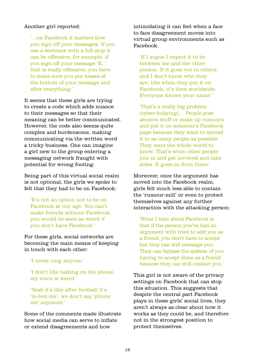#### Another girl reported:

'…on Facebook it matters how you sign off your messages. If you use a sentence with a full stop it can be offensive, for example, if you sign off your message 'K..' that is really offensive, you have to make sure you put kisses at the bottom of your message and after everything.'

It seems that these girls are trying to create a code which adds nuance to their messages so that their meaning can be better communicated. However, the code also seems quite complex and burdensome, making communicating via the written word a tricky business. One can imagine a girl new to the group entering a messaging network fraught with potential for wrong footing.

Being part of this virtual social realm is not optional, the girls we spoke to felt that they had to be on Facebook:

'It's not an option not to be on Facebook at our age. You can't make friends without Facebook, you would be seen as weird if you don't have Facebook.'

For these girls, social networks are becoming the main means of keeping in touch with each other:

'I never ring anyone.'

'I don't like talking on the phone, my voice is weird.'

'Yeah it's like after football it's 'in-box me', we don't say 'phone me' anymore.'

Some of the comments made illustrate how social media can serve to inflate or extend disagreements and how

intimidating it can feel when a face to face disagreement moves into virtual group environments such as Facebook:

'If I argue I expect it to be between me and the other person. If it goes out to others and I don't know who they are, like when they put it on Facebook, it's then worldwide. Everyone knows your name.'

'That's a really big problem (cyber-bullying)… People post abusive stuff or make up rumours and put it on someone's Facebook page because they want to spread it to as many people as possible. They want the whole world to know. That's when other people join in and get involved and take sides. It goes on from there.'

Moreover, once the argument has moved into the Facebook realm, girls felt much less able to contain the 'rumour-mill' or even to protect themselves against any further interaction with the attacking person:

'What I hate about Facebook is that if the person you've had an argument with tried to add you as a friend, you don't have to accept but they can still message you. They can bypass the system of you having to accept them as a friend because they can still contact you.'

This girl is not aware of the privacy settings on Facebook that can stop this situation. This suggests that despite the central part Facebook plays in these girls' social lives, they aren't always as clear about how it works as they could be, and therefore not in the strongest position to protect themselves.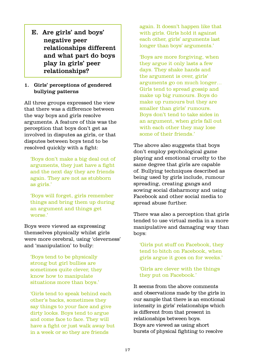E. Are girls' and boys' negative peer relationships different and what part do boys play in girls' peer relationships?

#### 1. Girls' perceptions of gendered bullying patterns

All three groups expressed the view that there was a difference between the way boys and girls resolve arguments. A feature of this was the perception that boys don't get as involved in disputes as girls, or that disputes between boys tend to be resolved quickly with a fight:

'Boys don't make a big deal out of arguments, they just have a fight and the next day they are friends again. They are not as stubborn as girls.'

'Boys will forget, girls remember things and bring them up during an argument and things get worse.'

Boys were viewed as expressing themselves physically whilst girls were more cerebral, using 'cleverness' and 'manipulation' to bully:

'Boys tend to be physically strong but girl bullies are sometimes quite clever, they know how to manipulate situations more than boys.'

'Girls tend to speak behind each other's backs, sometimes they say things to your face and give dirty looks. Boys tend to argue and come face to face. They will have a fight or just walk away but in a week or so they are friends

again. It doesn't happen like that with girls. Girls hold it against each other, girls' arguments last longer than boys' arguments.'

'Boys are more forgiving, when they argue it only lasts a few days. They shake hands and the argument is over, girls' arguments go on much longer… Girls tend to spread gossip and make up big rumours. Boys do make up rumours but they are smaller than girls' rumours. Boys don't tend to take sides in an argument, when girls fall out with each other they may lose some of their friends.'

The above also suggests that boys don't employ psychological game playing and emotional cruelty to the same degree that girls are capable of. Bullying techniques described as being used by girls include, rumour spreading, creating gangs and sowing social disharmony and using Facebook and other social media to spread abuse further.

There was also a perception that girls tended to use virtual media in a more manipulative and damaging way than boys:

'Girls put stuff on Facebook, they tend to bitch on Facebook, when girls argue it goes on for weeks.'

'Girls are clever with the things they put on Facebook.'

It seems from the above comments and observations made by the girls in our sample that there is an emotional intensity in girls' relationships which is different from that present in relationships between boys. Boys are viewed as using short bursts of physical fighting to resolve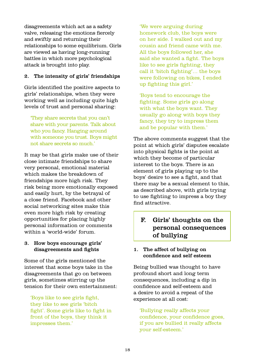disagreements which act as a safety valve, releasing the emotions fiercely and swiftly and returning their relationships to some equilibrium. Girls are viewed as having long-running battles in which more psychological attack is brought into play.

#### 2. The intensity of girls' friendships

Girls identified the positive aspects to girls' relationships, when they were working well as including quite high levels of trust and personal sharing:

'They share secrets that you can't share with your parents. Talk about who you fancy. Hanging around with someone you trust. Boys might not share secrets so much.'

It may be that girls make use of their close intimate friendships to share very personal, emotional material which makes the breakdown of friendships more high risk. They risk being more emotionally exposed and easily hurt, by the betrayal of a close friend. Facebook and other social networking sites make this even more high risk by creating opportunities for placing highly personal information or comments within a 'world-wide' forum.

#### 3. How boys encourage girls' disagreements and fights

Some of the girls mentioned the interest that some boys take in the disagreements that go on between girls, sometimes stirring up the tension for their own entertainment:

'Boys like to see girls fight, they like to see girls 'bitch fight'. Some girls like to fight in front of the boys, they think it impresses them.'

'We were arguing during homework club, the boys were on her side. I walked out and my cousin and friend came with me. All the boys followed her, she said she wanted a fight. The boys like to see girls fighting, they call it 'bitch fighting'… the boys were following on bikes, I ended up fighting this girl.'

'Boys tend to encourage the fighting. Some girls go along with what the boys want. They usually go along with boys they fancy, they try to impress them and be popular with them.'

The above comments suggest that the point at which girls' disputes escalate into physical fights is the point at which they become of particular interest to the boys. There is an element of girls playing up to the boys' desire to see a fight, and that there may be a sexual element to this, as described above, with girls trying to use fighting to impress a boy they find attractive.

# F. Girls' thoughts on the personal consequences of bullying

#### 1. The affect of bullying on confidence and self esteem

Being bullied was thought to have profound short and long term consequences, including a dip in confidence and self-esteem and a desire to avoid a repeat of the experience at all cost:

'Bullying really affects your confidence, your confidence goes, if you are bullied it really affects your self-esteem.'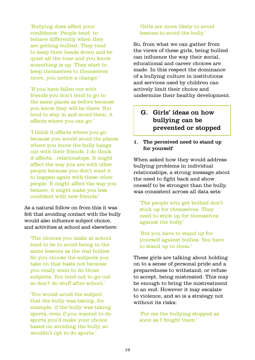'Bullying does affect your confidence. People tend to behave differently when they are getting bullied. They tend to keep their heads down and be quiet all the time and you know something is up. They start to keep themselves to themselves more, you notice a change.'

'If you have fallen out with friends you don't tend to go to the same places as before because you know they will be there. You tend to stay in and avoid them, it affects where you can go.'

'I think it affects where you go because you would avoid the places where you know the bully hangs out with their friends. I do think it affects…relationships. It might affect the way you are with other people because you don't want it to happen again with these other people. It might affect the way you behave, it might make you less confident with new friends.'

As a natural follow on from this it was felt that avoiding contact with the bully would also influence subject choice, and activities at school and elsewhere:

'The choices you make at school tend to be to avoid being in the same lessons as the real bullies. So you choose the subjects you take on that basis not because you really want to do those subjects. You tend not to go out so don't do stuff after school.'

'You would avoid the subject that the bully was taking, for example, if the bully was taking sports, even if you wanted to do sports you'd make your choice based on avoiding the bully, so wouldn't opt to do sports.'

#### 'Girls are more likely to avoid lessons to avoid the bully.'

So, from what we can gather from the views of these girls, being bullied can influence the way their social, educational and career choices are made. In this respect the dominance of a bullying culture in institutions and services used by children can actively limit their choice and undermine their healthy development.

# G. Girls' ideas on how bullying can be prevented or stopped

#### 1. The perceived need to stand up for yourself

When asked how they would address bullying problems in individual relationships, a strong message about the need to fight back and show oneself to be stronger than the bully, was consistent across all data sets:

'The people who get bullied don't stick up for themselves. They need to stick up for themselves against the bully.'

'But you have to stand up for yourself against bullies. You have to stand up to them.'

These girls are talking about holding on to a sense of personal pride and a preparedness to withstand, or refuse to accept, being mistreated. This may be enough to bring the mistreatment to an end. However it may escalate to violence, and so is a strategy not without its risks:

'For me the bullying stopped as soon as I fought them.'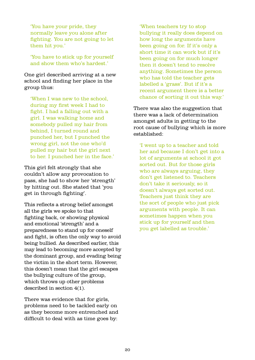'You have your pride, they normally leave you alone after fighting. You are not going to let them hit you.'

'You have to stick up for yourself and show them who's hardest.'

One girl described arriving at a new school and finding her place in the group thus:

'When I was new to the school, during my first week I had to fight. I had a falling out with a girl. I was walking home and somebody pulled my hair from behind, I turned round and punched her, but I punched the wrong girl, not the one who'd pulled my hair but the girl next to her. I punched her in the face.'

This girl felt strongly that she couldn't allow any provocation to pass, she had to show her 'strength' by hitting out. She stated that 'you get in through fighting'.

This reflects a strong belief amongst all the girls we spoke to that fighting back, or showing physical and emotional 'strength' and a preparedness to stand up for oneself and fight, is often the only way to avoid being bullied. As described earlier, this may lead to becoming more accepted by the dominant group, and evading being the victim in the short term. However, this doesn't mean that the girl escapes the bullying culture of the group, which throws up other problems described in section 4(1).

There was evidence that for girls, problems need to be tackled early on as they become more entrenched and difficult to deal with as time goes by:

'When teachers try to stop bullying it really does depend on how long the arguments have been going on for. If it's only a short time it can work but if it's been going on for much longer then it doesn't tend to resolve anything. Sometimes the person who has told the teacher gets labelled a 'grass'. But if it's a recent argument there is a better chance of sorting it out this way.'

There was also the suggestion that there was a lack of determination amongst adults in getting to the root cause of bullying which is more established:

'I went up to a teacher and told her and because I don't get into a lot of arguments at school it got sorted out. But for those girls who are always arguing, they don't get listened to. Teachers don't take it seriously, so it doesn't always get sorted out. Teachers just think they are the sort of people who just pick arguments with people. It can sometimes happen when you stick up for yourself and then you get labelled as trouble.'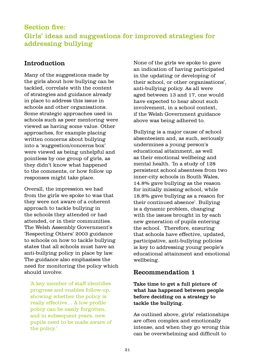# Section five: Girls' ideas and suggestions for improved strategies for addressing bullying

# Introduction

Many of the suggestions made by the girls about how bullying can be tackled, correlate with the content of strategies and guidance already in place to address this issue in schools and other organisations. Some strategic approaches used in schools such as peer mentoring were viewed as having some value. Other approaches, for example placing written concerns about bullying into a 'suggestion/concerns box' were viewed as being unhelpful and pointless by one group of girls, as they didn't know what happened to the comments, or how follow up responses might take place.

Overall, the impression we had from the girls we spoke to was that they were not aware of a coherent approach to tackle bullying in the schools they attended or had attended, or in their communities. The Welsh Assembly Government's 'Respecting Others' 2003 guidance to schools on how to tackle bullying states that all schools must have an anti-bullying policy in place by law. The guidance also emphasises the need for monitoring the policy which should involve:

'A key member of staff identifies progress and enables follow-up, showing whether the policy is really effective… A low profile policy can be easily forgotten, and in subsequent years, new pupils need to be made aware of the policy.'

None of the girls we spoke to gave an indication of having participated in the updating or developing of their school, or other organisations', anti-bullying policy. As all were aged between 13 and 17, one would have expected to hear about such involvement, in a school context, if the Welsh Government guidance above was being adhered to.

Bullying is a major cause of school absenteeism and, as such, seriously undermines a young person's educational attainment, as well as their emotional wellbeing and mental health. 'In a study of 128 persistent school absentees from two inner-city schools in South Wales, 14.8% gave bullying as the reason for initially missing school, while 18.8% gave bullying as a reason for their continued absence'. Bullying is a dynamic problem, changing with the issues brought in by each new generation of pupils entering the school. Therefore, ensuring that schools have effective, updated, participative, anti-bullying policies is key to addressing young people's educational attainment and emotional wellbeing.

### Recommendation 1

### Take time to get a full picture of what has happened between people before deciding on a strategy to tackle the bullying.

As outlined above, girls' relationships are often complex and emotionally intense, and when they go wrong this can be overwhelming and difficult to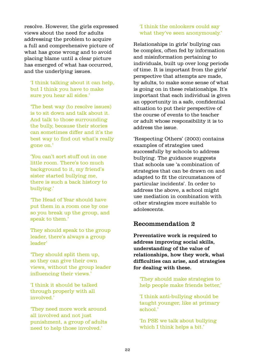resolve. However, the girls expressed views about the need for adults addressing the problem to acquire a full and comprehensive picture of what has gone wrong and to avoid placing blame until a clear picture has emerged of what has occurred, and the underlying issues.

'I think talking about it can help, but I think you have to make sure you hear all sides.'

'The best way (to resolve issues) is to sit down and talk about it. And talk to those surrounding the bully, because their stories can sometimes differ and it's the best way to find out what's really gone on.'

'You can't sort stuff out in one little room. There's too much background to it, my friend's sister started bullying me, there is such a back history to bullying.'

'The Head of Year should have put them in a room one by one so you break up the group, and speak to them.'

They should speak to the group leader, there's always a group leader'

'They should split them up, so they can give their own views, without the group leader influencing their views.'

'I think it should be talked through properly with all involved.'

'They need more work around all involved and not just punishment, a group of adults need to help those involved.'

#### 'I think the onlookers could say what they've seen anonymously.'

Relationships in girls' bullying can be complex, often fed by information and misinformation pertaining to individuals, built up over long periods of time. It is important from the girls' perspective that attempts are made, by adults, to make some sense of what is going on in these relationships. It's important that each individual is given an opportunity in a safe, confidential situation to put their perspective of the course of events to the teacher or adult whose responsibility it is to address the issue.

'Respecting Others' (2003) contains examples of strategies used successfully by schools to address bullying. The guidance suggests that schools use 'a combination of strategies that can be drawn on and adapted to fit the circumstances of particular incidents'. In order to address the above, a school might use mediation in combination with other strategies more suitable to adolescents.

### Recommendation 2

Preventative work is required to address improving social skills, understanding of the value of relationships, how they work, what difficulties can arise, and strategies for dealing with these.

'They should make strategies to help people make friends better,'

'I think anti-bullying should be taught younger, like at primary school.'

'In PSE we talk about bullying which I think helps a bit.'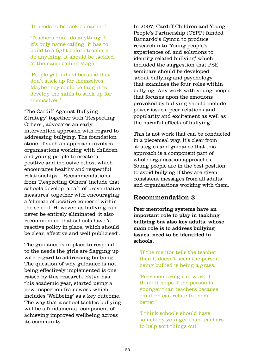'It needs to be tackled earlier.'

'Teachers don't do anything if it's only name calling, it has to build to a fight before teachers do anything, it should be tackled at the name calling stage.'

'People get bullied because they don't stick up for themselves. Maybe they could be taught to develop the skills to stick up for themselves.'

'The Cardiff Against Bullying Strategy' together with 'Respecting Others', advocates an early intervention approach with regard to addressing bullying. The foundation stone of such an approach involves organisations working with children and young people to create 'a positive and inclusive ethos, which encourages healthy and respectful relationships'. Recommendations from 'Respecting Others' include that schools develop 'a raft of preventative measures' together with encouraging a 'climate of positive concern' within the school. However, as bullying can never be entirely eliminated, it also recommended that schools have 'a reactive policy in place, which should be clear, effective and well publicised'.

The guidance is in place to respond to the needs the girls are flagging up with regard to addressing bullying. The question of why guidance is not being effectively implemented is one raised by this research. Estyn has, this academic year, started using a new inspection framework which includes 'Wellbeing' as a key outcome. The way that a school tackles bullying will be a fundamental component of achieving improved wellbeing across its community.

In 2007, Cardiff Children and Young People's Partnership (CYPP) funded Barnardo's Cymru to produce research into 'Young people's experiences of, and solutions to, identity related bullying' which included the suggestion that PSE seminars should be developed 'about bullying and psychology that examines the four roles within bullying. Any work with young people that focuses upon the emotions provoked by bullying should include power issues, peer relations and popularity and excitement as well as the harmful effects of bullying'.

This is not work that can be conducted in a piecemeal way. It's clear from strategies and guidance that this approach is a component part of whole organisation approaches. Young people are in the best position to avoid bullying if they are given consistent messages from all adults and organisations working with them.

### Recommendation 3

Peer mentoring systems have an important role to play in tackling bullying but also key adults, whose main role is to address bullying issues, need to be identified in schools.

'If the mentor tells the teacher then it doesn't seem the person being bullied is being a grass.'

'Peer mentoring can work, I think it helps if the person is younger than teachers because children can relate to them better'

'I think schools should have somebody younger than teachers to help sort things out'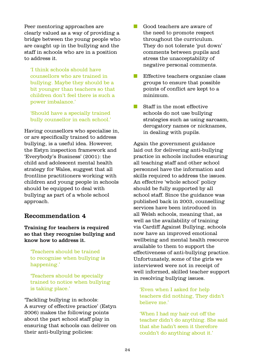Peer mentoring approaches are clearly valued as a way of providing a bridge between the young people who are caught up in the bullying and the staff in schools who are in a position to address it.

'I think schools should have counsellors who are trained in bullying. Maybe they should be a bit younger than teachers so that children don't feel there is such a power imbalance.'

'Should have a specially trained bully counsellor in each school.'

Having counsellors who specialise in, or are specifically trained to address bullying, is a useful idea. However, the Estyn inspection framework and 'Everybody's Business' (2001): the child and adolescent mental health strategy for Wales, suggest that all frontline practitioners working with children and young people in schools should be equipped to deal with bullying as part of a whole school approach.

#### Recommendation 4

Training for teachers is required so that they recognise bullying and know how to address it.

'Teachers should be trained to recognise when bullying is happening.'

'Teachers should be specially trained to notice when bullying is taking place.'

'Tackling bullying in schools: A survey of effective practice' (Estyn 2006) makes the following points about the part school staff play in ensuring that schools can deliver on their anti-bullying policies:

- **n** Good teachers are aware of the need to promote respect throughout the curriculum. They do not tolerate 'put down' comments between pupils and stress the unacceptability of negative personal comments.
- $\blacksquare$  Effective teachers organise class groups to ensure that possible points of conflict are kept to a minimum.
- $\blacksquare$  Staff in the most effective schools do not use bullying strategies such as using sarcasm, derogatory names or nicknames, in dealing with pupils.

Again the government guidance laid out for delivering anti-bullying practice in schools includes ensuring all teaching staff and other school personnel have the information and skills required to address the issues. An effective 'whole school' policy should be fully supported by all school staff. Since the guidance was published back in 2003, counselling services have been introduced in all Welsh schools, meaning that, as well as the availability of training via Cardiff Against Bullying, schools now have an improved emotional wellbeing and mental health resource available to them to support the effectiveness of anti-bullying practice. Unfortunately, some of the girls we interviewed were not in receipt of well informed, skilled teacher support in resolving bullying issues.

'Even when I asked for help teachers did nothing, They didn't believe me.'

'When I had my hair cut off the teacher didn't do anything. She said that she hadn't seen it therefore couldn't do anything about it.'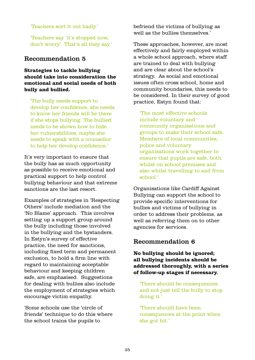'Teachers sort it out badly.'

'Teachers say 'it's stopped now, don't worry'. That's all they say.'

### Recommendation 5

#### **Strategies to tackle bullying should take into consideration the emotional and social needs of both bully and bullied.**

'The bully needs support to develop her confidence, she needs to know her friends will be there if she stops bullying. The bullied needs to be shown how to hide her vulnerabilities, maybe she needs to speak with a counsellor to help her develop confidence.'

It's very important to ensure that the bully has as much opportunity as possible to receive emotional and practical support to help control bullying behaviour and that extreme sanctions are the last resort.

Examples of strategies in 'Respecting Others' include mediation and the 'No Blame' approach. This involves setting up a support group around the bully including those involved in the bullying and the bystanders. In Estyn's survey of effective practice, the need for sanctions, including fixed term and permanent exclusion, to hold a firm line with regard to maintaining acceptable behaviour and keeping children safe, are emphasised. Suggestions for dealing with bullies also include the employment of strategies which encourage victim empathy.

'Some schools use the 'circle of friends' technique to do this where the school trains the pupils to

befriend the victims of bullying as well as the bullies themselves.'

These approaches, however, are most effectively and fairly employed within a whole school approach, where staff are trained to deal with bullying and are clear about the school's strategy. As social and emotional issues often cross school, home and community boundaries, this needs to be considered. In their survey of good practice, Estyn found that:

'The most effective schools include voluntary and community organisations and groups to make their school safe. Members of local communities, police and voluntary organisations work together to ensure that pupils are safe, both whilst on school premises and also whilst travelling to and from school<sup>'</sup>

Organisations like Cardiff Against Bullying can support the school to provide specific interventions for bullies and victims of bullying in order to address their problems, as well as referring them on to other agencies for services.

### Recommendation 6

#### **No bullying should be ignored; all bullying incidents should be addressed thoroughly, with a series of follow-up stages if necessary.**

'There should be consequences and not just tell the bully to stop doing it.'

'There should have been consequences at the point when she got hit.'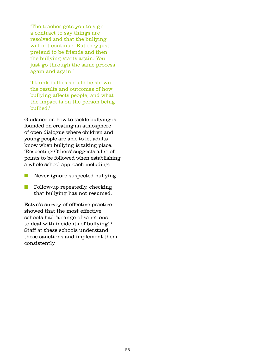'The teacher gets you to sign a contract to say things are resolved and that the bullying will not continue. But they just pretend to be friends and then the bullying starts again. You just go through the same process again and again.'

'I think bullies should be shown the results and outcomes of how bullying affects people, and what the impact is on the person being bullied.'

Guidance on how to tackle bullying is founded on creating an atmosphere of open dialogue where children and young people are able to let adults know when bullying is taking place. 'Respecting Others' suggests a list of points to be followed when establishing a whole school approach including:

- **Never ignore suspected bullying.**
- **n** Follow-up repeatedly, checking that bullying has not resumed.

Estyn's survey of effective practice showed that the most effective schools had 'a range of sanctions to deal with incidents of bullying'.1 Staff at these schools understand these sanctions and implement them consistently.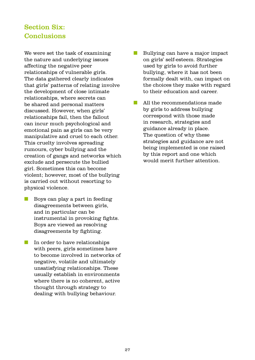# Section Six: **Conclusions**

We were set the task of examining the nature and underlying issues affecting the negative peer relationships of vulnerable girls. The data gathered clearly indicates that girls' patterns of relating involve the development of close intimate relationships, where secrets can be shared and personal matters discussed. However, when girls' relationships fail, then the fallout can incur much psychological and emotional pain as girls can be very manipulative and cruel to each other. This cruelty involves spreading rumours, cyber bullying and the creation of gangs and networks which exclude and persecute the bullied girl. Sometimes this can become violent; however, most of the bullying is carried out without resorting to physical violence.

- $\blacksquare$  Boys can play a part in feeding disagreements between girls, and in particular can be instrumental in provoking fights. Boys are viewed as resolving disagreements by fighting.
- In order to have relationships with peers, girls sometimes have to become involved in networks of negative, volatile and ultimately unsatisfying relationships. These usually establish in environments where there is no coherent, active thought through strategy to dealing with bullying behaviour.
- **n** Bullying can have a major impact on girls' self-esteem. Strategies used by girls to avoid further bullying, where it has not been formally dealt with, can impact on the choices they make with regard to their education and career.
- $\blacksquare$  All the recommendations made by girls to address bullying correspond with those made in research, strategies and guidance already in place. The question of why these strategies and guidance are not being implemented is one raised by this report and one which would merit further attention.